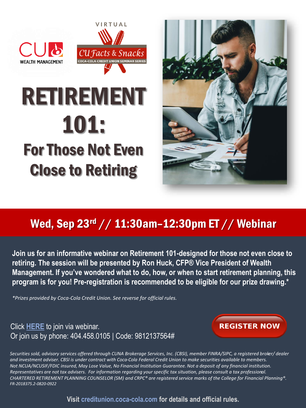



## RETIREMENT 101: For Those Not Even Close to Retiring



## Wed, Sep 23rd // 11:30am–12:30pm ET // Webinar

**Join us for an informative webinar on Retirement 101-designed for those not even close to retiring. The session will be presented by Ron Huck, CFP® Vice President of Wealth [Management. If you've wondered what to do, how, or when to start retirement planning, this](https://www.eventbrite.com/e/cu-facts-snacks-tickets-41498261417)  program is for you! Pre-registration is recommended to be eligible for our prize drawing.\***

*\*Prizes provided by Coca-Cola Credit Union. See reverse for official rules.*

## Click **[HERE](https://qrgo.page.link/sqXDQ)** to join via webinar. [Or join us by phone: 404.458.0105 | Code: 9812137564#](https://www.eventbrite.com/e/cu-facts-snacks-first-time-home-buyer-tickets-55569180916)



*Securities sold, advisory services offered through CUNA Brokerage Services, Inc. (CBSI), member FINRA/SIPC, a registered broker/ dealer and investment adviser. CBSI is under contract with Coca-Cola Federal Credit Union to make securities available to members. Not NCUA/NCUSIF/FDIC insured, May Lose Value, No Financial Institution Guarantee. Not a deposit of any financial institution. Representatives are not tax advisers. For information regarding your specific tax situation, please consult a tax professional. CHARTERED RETIREMENT PLANNING COUNSELOR (SM) and CRPC® are registered service marks of the College for Financial Planning®. FR-2018375.2-0820-0922*

**[Visit creditunion.coca-cola.com for details and official rules.](http://creditunion.coca-cola.com/)**